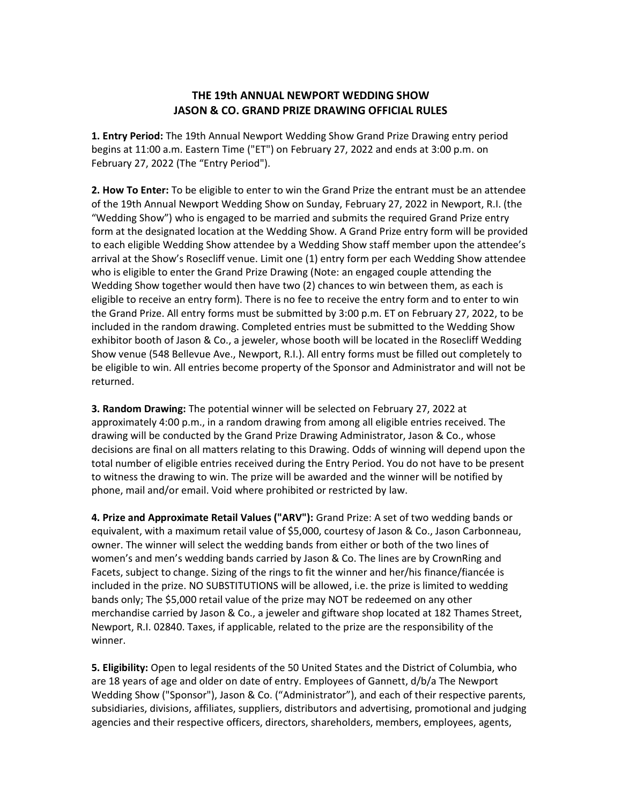## **THE 19th ANNUAL NEWPORT WEDDING SHOW JASON & CO. GRAND PRIZE DRAWING OFFICIAL RULES**

**1. Entry Period:** The 19th Annual Newport Wedding Show Grand Prize Drawing entry period begins at 11:00 a.m. Eastern Time ("ET") on February 27, 2022 and ends at 3:00 p.m. on February 27, 2022 (The "Entry Period").

**2. How To Enter:** To be eligible to enter to win the Grand Prize the entrant must be an attendee of the 19th Annual Newport Wedding Show on Sunday, February 27, 2022 in Newport, R.I. (the "Wedding Show") who is engaged to be married and submits the required Grand Prize entry form at the designated location at the Wedding Show. A Grand Prize entry form will be provided to each eligible Wedding Show attendee by a Wedding Show staff member upon the attendee's arrival at the Show's Rosecliff venue. Limit one (1) entry form per each Wedding Show attendee who is eligible to enter the Grand Prize Drawing (Note: an engaged couple attending the Wedding Show together would then have two (2) chances to win between them, as each is eligible to receive an entry form). There is no fee to receive the entry form and to enter to win the Grand Prize. All entry forms must be submitted by 3:00 p.m. ET on February 27, 2022, to be included in the random drawing. Completed entries must be submitted to the Wedding Show exhibitor booth of Jason & Co., a jeweler, whose booth will be located in the Rosecliff Wedding Show venue (548 Bellevue Ave., Newport, R.I.). All entry forms must be filled out completely to be eligible to win. All entries become property of the Sponsor and Administrator and will not be returned.

**3. Random Drawing:** The potential winner will be selected on February 27, 2022 at approximately 4:00 p.m., in a random drawing from among all eligible entries received. The drawing will be conducted by the Grand Prize Drawing Administrator, Jason & Co., whose decisions are final on all matters relating to this Drawing. Odds of winning will depend upon the total number of eligible entries received during the Entry Period. You do not have to be present to witness the drawing to win. The prize will be awarded and the winner will be notified by phone, mail and/or email. Void where prohibited or restricted by law.

**4. Prize and Approximate Retail Values ("ARV"):** Grand Prize: A set of two wedding bands or equivalent, with a maximum retail value of \$5,000, courtesy of Jason & Co., Jason Carbonneau, owner. The winner will select the wedding bands from either or both of the two lines of women's and men's wedding bands carried by Jason & Co. The lines are by CrownRing and Facets, subject to change. Sizing of the rings to fit the winner and her/his finance/fiancée is included in the prize. NO SUBSTITUTIONS will be allowed, i.e. the prize is limited to wedding bands only; The \$5,000 retail value of the prize may NOT be redeemed on any other merchandise carried by Jason & Co., a jeweler and giftware shop located at 182 Thames Street, Newport, R.I. 02840. Taxes, if applicable, related to the prize are the responsibility of the winner.

**5. Eligibility:** Open to legal residents of the 50 United States and the District of Columbia, who are 18 years of age and older on date of entry. Employees of Gannett, d/b/a The Newport Wedding Show ("Sponsor"), Jason & Co. ("Administrator"), and each of their respective parents, subsidiaries, divisions, affiliates, suppliers, distributors and advertising, promotional and judging agencies and their respective officers, directors, shareholders, members, employees, agents,